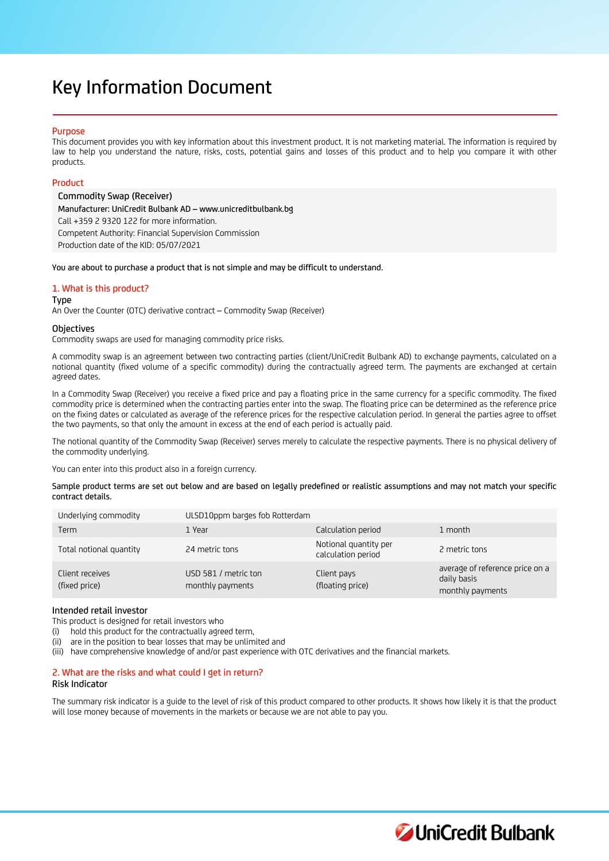# Key Information Document

## Purpose

This document provides you with key information about this investment product. It is not marketing material. The information is required by law to help you understand the nature, risks, costs, potential gains and losses of this product and to help you compare it with other products.

## Product

Commodity Swap (Receiver) Manufacturer: UniCredit Bulbank AD – www.unicreditbulbank.bg Call +359 2 9320 122 for more information. Competent Authority: Financial Supervision Commission Production date of the KID: 05/07/2021

You are about to purchase a product that is not simple and may be difficult to understand.

# 1. What is this product?

#### Type

An Over the Counter (OTC) derivative contract – Commodity Swap (Receiver)

## **Objectives**

Commodity swaps are used for managing commodity price risks.

A commodity swap is an agreement between two contracting parties (client/UniCredit Bulbank AD) to exchange payments, calculated on a notional quantity (fixed volume of a specific commodity) during the contractually agreed term. The payments are exchanged at certain agreed dates.

In a Commodity Swap (Receiver) you receive a fixed price and pay a floating price in the same currency for a specific commodity. The fixed commodity price is determined when the contracting parties enter into the swap. The floating price can be determined as the reference price on the fixing dates or calculated as average of the reference prices for the respective calculation period. In general the parties agree to offset the two payments, so that only the amount in excess at the end of each period is actually paid.

The notional quantity of the Commodity Swap (Receiver) serves merely to calculate the respective payments. There is no physical delivery of the commodity underlying.

You can enter into this product also in a foreign currency.

Sample product terms are set out below and are based on legally predefined or realistic assumptions and may not match your specific contract details.

| Underlying commodity             | ULSD10ppm barges fob Rotterdam           |                                             |                                                                    |
|----------------------------------|------------------------------------------|---------------------------------------------|--------------------------------------------------------------------|
| Term                             | 1 Year                                   | Calculation period                          | 1 month                                                            |
| Total notional quantity          | 24 metric tons                           | Notional quantity per<br>calculation period | 2 metric tons                                                      |
| Client receives<br>(fixed price) | USD 581 / metric ton<br>monthly payments | Client pays<br>(floating price)             | average of reference price on a<br>daily basis<br>monthly payments |

# Intended retail investor

This product is designed for retail investors who

(i) hold this product for the contractually agreed term,

(ii) are in the position to bear losses that may be unlimited and

(iii) have comprehensive knowledge of and/or past experience with OTC derivatives and the financial markets.

# 2. What are the risks and what could I get in return?

## Risk Indicator

The summary risk indicator is a guide to the level of risk of this product compared to other products. It shows how likely it is that the product will lose money because of movements in the markets or because we are not able to pay you.

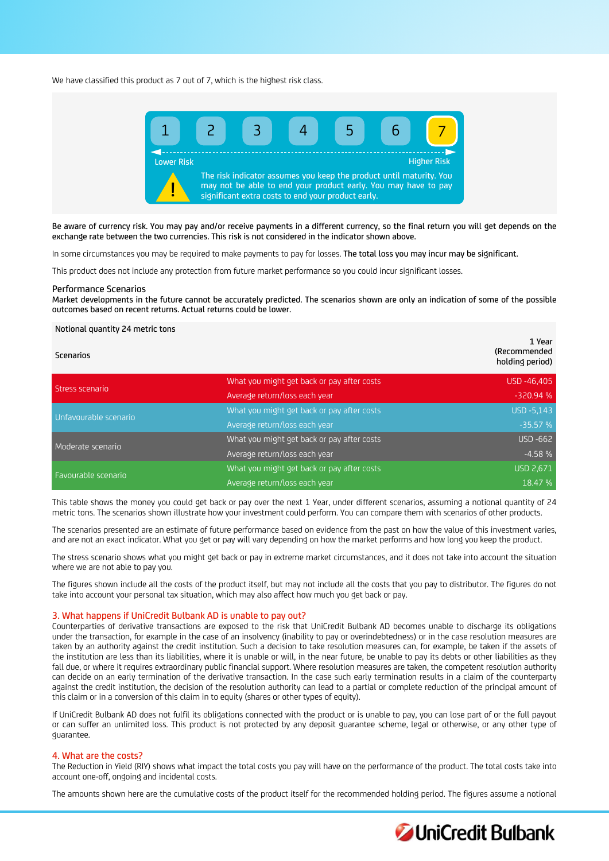We have classified this product as 7 out of 7, which is the highest risk class.



Be aware of currency risk. You may pay and/or receive payments in a different currency, so the final return you will get depends on the exchange rate between the two currencies. This risk is not considered in the indicator shown above.

In some circumstances you may be required to make payments to pay for losses. The total loss you may incur may be significant.

This product does not include any protection from future market performance so you could incur significant losses.

#### Performance Scenarios

Market developments in the future cannot be accurately predicted. The scenarios shown are only an indication of some of the possible outcomes based on recent returns. Actual returns could be lower.

#### Notional quantity 24 metric tons

| <b>Scenarios</b>      |                                            | 1 Year<br>(Recommended<br>holding period) |
|-----------------------|--------------------------------------------|-------------------------------------------|
| Stress scenario       | What you might get back or pay after costs | USD -46,405                               |
|                       | Average return/loss each year              | $-320.94%$                                |
| Unfavourable scenario | What you might get back or pay after costs | USD -5,143                                |
|                       | Average return/loss each year              | $-35.57%$                                 |
| Moderate scenario     | What you might get back or pay after costs | <b>USD -662</b>                           |
|                       | Average return/loss each year              | $-4.58%$                                  |
| Favourable scenario   | What you might get back or pay after costs | <b>USD 2,671</b>                          |
|                       | Average return/loss each year              | 18.47 %                                   |

This table shows the money you could get back or pay over the next 1 Year, under different scenarios, assuming a notional quantity of 24 metric tons. The scenarios shown illustrate how your investment could perform. You can compare them with scenarios of other products.

The scenarios presented are an estimate of future performance based on evidence from the past on how the value of this investment varies, and are not an exact indicator. What you get or pay will vary depending on how the market performs and how long you keep the product.

The stress scenario shows what you might get back or pay in extreme market circumstances, and it does not take into account the situation where we are not able to pay you.

The figures shown include all the costs of the product itself, but may not include all the costs that you pay to distributor. The figures do not take into account your personal tax situation, which may also affect how much you get back or pay.

## 3. What happens if UniCredit Bulbank AD is unable to pay out?

Counterparties of derivative transactions are exposed to the risk that UniCredit Bulbank AD becomes unable to discharge its obligations under the transaction, for example in the case of an insolvency (inability to pay or overindebtedness) or in the case resolution measures are taken by an authority against the credit institution. Such a decision to take resolution measures can, for example, be taken if the assets of the institution are less than its liabilities, where it is unable or will, in the near future, be unable to pay its debts or other liabilities as they fall due, or where it requires extraordinary public financial support. Where resolution measures are taken, the competent resolution authority can decide on an early termination of the derivative transaction. In the case such early termination results in a claim of the counterparty against the credit institution, the decision of the resolution authority can lead to a partial or complete reduction of the principal amount of this claim or in a conversion of this claim in to equity (shares or other types of equity).

If UniCredit Bulbank AD does not fulfil its obligations connected with the product or is unable to pay, you can lose part of or the full payout or can suffer an unlimited loss. This product is not protected by any deposit guarantee scheme, legal or otherwise, or any other type of guarantee.

## 4. What are the costs?

The Reduction in Yield (RIY) shows what impact the total costs you pay will have on the performance of the product. The total costs take into account one-off, ongoing and incidental costs.

The amounts shown here are the cumulative costs of the product itself for the recommended holding period. The figures assume a notional